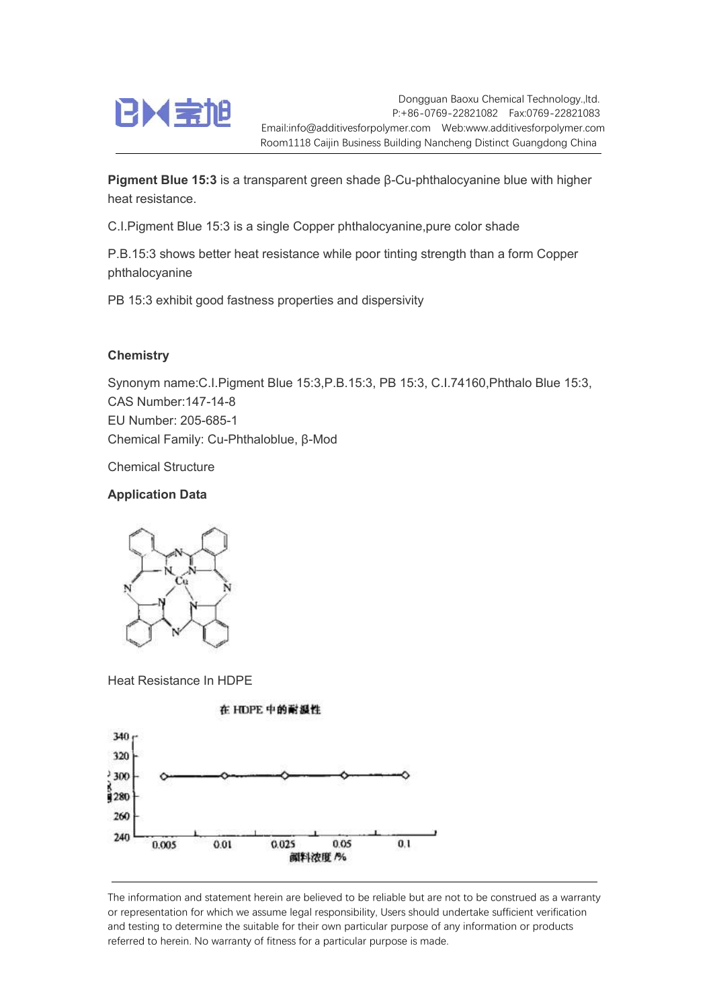

Dongguan Baoxu Chemical Technology.,ltd. P:+86-0769-22821082 Fax:0769-22821083 Email:info@additivesforpolymer.com Web:www.additivesforpolymer.com Room1118 Caijin Business Building Nancheng Distinct Guangdong China

Pigment Blue 15:3 is a transparent green shade β-Cu-phthalocyanine blue with higher heat resistance.

C.I.Pigment Blue 15:3 is a single Copper phthalocyanine,pure color shade

P.B.15:3 shows better heat resistance while poor tinting strength than a form Copper phthalocyanine

PB 15:3 exhibit good fastness properties and dispersivity

## **Chemistry**

Synonym name:C.I.Pigment Blue 15:3,P.B.15:3, PB 15:3, C.I.74160,Phthalo Blue 15:3, CAS Number:147-14-8 EU Number: 205-685-1 Chemical Family: Cu-Phthaloblue, β-Mod

Chemical Structure

## Application Data



Heat Resistance In HDPE



The information and statement herein are believed to be reliable but are not to be construed as a warranty or representation for which we assume legal responsibility, Users should undertake sufficient verification and testing to determine the suitable for their own particular purpose of any information or products referred to herein. No warranty of fitness for a particular purpose is made.